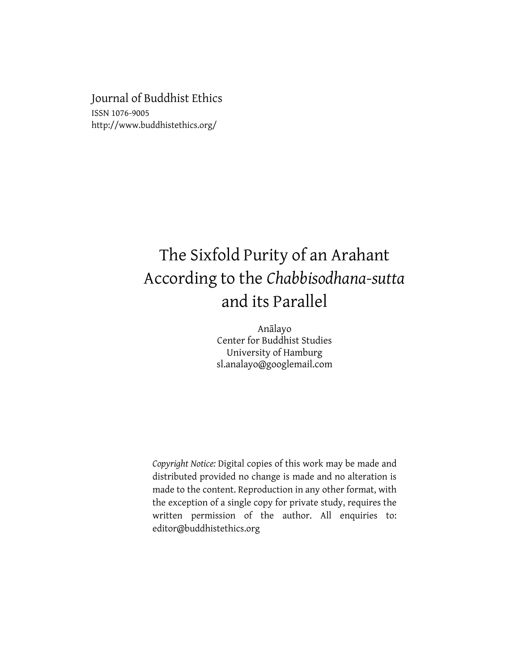Journal of Buddhist Ethics ISSN 1076-9005 http://www.buddhistethics.org/

# The Sixfold Purity of an Arahant According to the *Chabbisodhana-sutta* and its Parallel

Anālayo Center for Buddhist Studies University of Hamburg sl.analayo@googlemail.com

*Copyright Notice:* Digital copies of this work may be made and distributed provided no change is made and no alteration is made to the content. Reproduction in any other format, with the exception of a single copy for private study, requires the written permission of the author. All enquiries to: editor@buddhistethics.org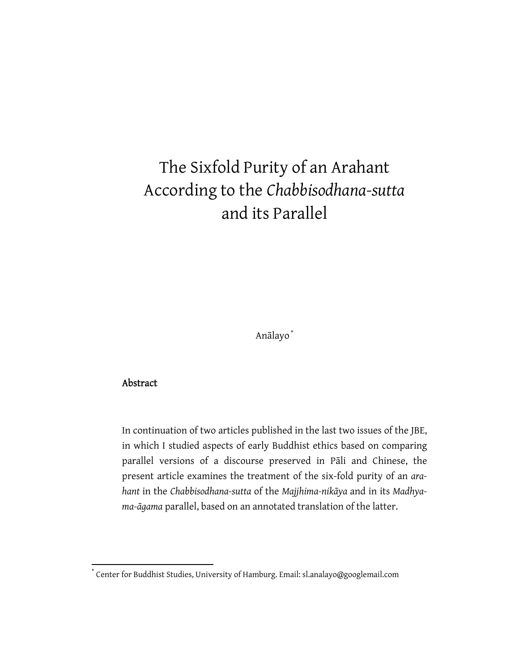# The Sixfold Purity of an Arahant According to the *Chabbisodhana-sutta* and its Parallel

Anālayo \*

# Abstract

In continuation of two articles published in the last two issues of the JBE, in which I studied aspects of early Buddhist ethics based on comparing parallel versions of a discourse preserved in Pāli and Chinese, the present article examines the treatment of the six-fold purity of an *arahant* in the *Chabbisodhana-sutta* of the *Majjhima-nikāya* and in its *Madhyama-āgama* parallel, based on an annotated translation of the latter.

<sup>\*</sup> Center for Buddhist Studies, University of Hamburg. Email: sl.analayo@googlemail.com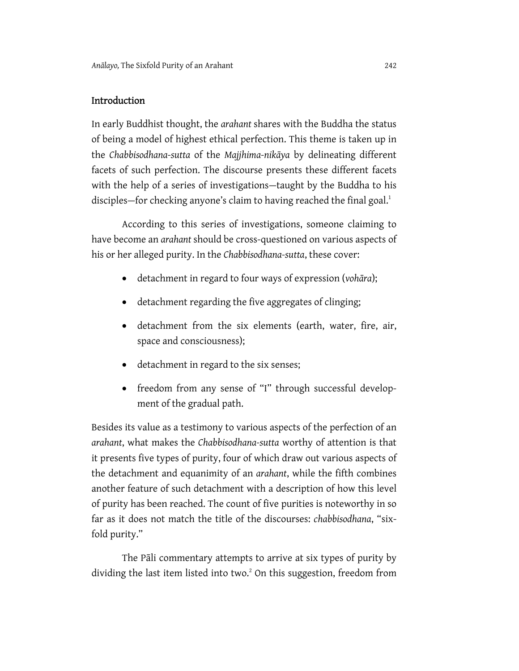### Introduction

In early Buddhist thought, the *arahant* shares with the Buddha the status of being a model of highest ethical perfection. This theme is taken up in the *Chabbisodhana-sutta* of the *Majjhima-nikāya* by delineating different facets of such perfection. The discourse presents these different facets with the help of a series of investigations—taught by the Buddha to his disciples–for checking anyone's claim to having reached the final goal.<sup>1</sup>

According to this series of investigations, someone claiming to have become an *arahant* should be cross-questioned on various aspects of his or her alleged purity. In the *Chabbisodhana-sutta*, these cover:

- detachment in regard to four ways of expression (*vohāra*);
- detachment regarding the five aggregates of clinging;
- detachment from the six elements (earth, water, fire, air, space and consciousness);
- detachment in regard to the six senses;
- freedom from any sense of "I" through successful development of the gradual path.

Besides its value as a testimony to various aspects of the perfection of an *arahant*, what makes the *Chabbisodhana-sutta* worthy of attention is that it presents five types of purity, four of which draw out various aspects of the detachment and equanimity of an *arahant*, while the fifth combines another feature of such detachment with a description of how this level of purity has been reached. The count of five purities is noteworthy in so far as it does not match the title of the discourses: *chabbisodhana*, "sixfold purity."

The Pāli commentary attempts to arrive at six types of purity by dividing the last item listed into two.<sup>2</sup> On this suggestion, freedom from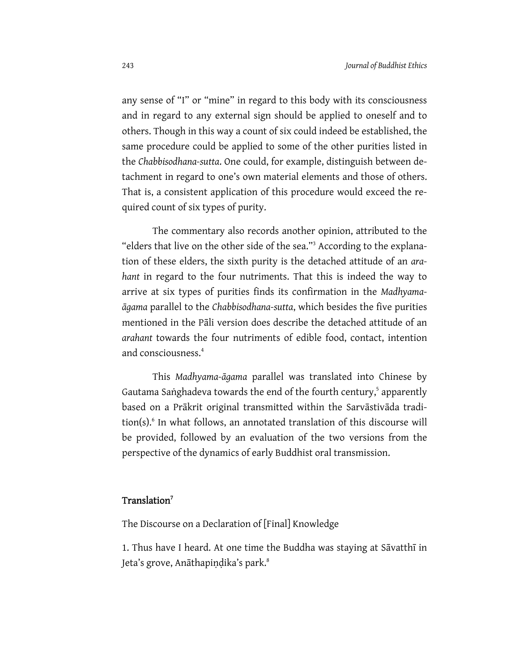any sense of "I" or "mine" in regard to this body with its consciousness and in regard to any external sign should be applied to oneself and to others. Though in this way a count of six could indeed be established, the same procedure could be applied to some of the other purities listed in the *Chabbisodhana-sutta*. One could, for example, distinguish between detachment in regard to one's own material elements and those of others. That is, a consistent application of this procedure would exceed the required count of six types of purity.

The commentary also records another opinion, attributed to the "elders that live on the other side of the sea."<sup>3</sup> According to the explanation of these elders, the sixth purity is the detached attitude of an *arahant* in regard to the four nutriments. That this is indeed the way to arrive at six types of purities finds its confirmation in the *Madhyamaāgama* parallel to the *Chabbisodhana-sutta*, which besides the five purities mentioned in the Pāli version does describe the detached attitude of an *arahant* towards the four nutriments of edible food, contact, intention and consciousness.<sup>4</sup>

This *Madhyama-āgama* parallel was translated into Chinese by Gautama Saṅghadeva towards the end of the fourth century,<sup>5</sup> apparently based on a Prākrit original transmitted within the Sarvāstivāda tradition(s).<sup>6</sup> In what follows, an annotated translation of this discourse will be provided, followed by an evaluation of the two versions from the perspective of the dynamics of early Buddhist oral transmission.

#### Translation<sup>7</sup>

The Discourse on a Declaration of [Final] Knowledge

1. Thus have I heard. At one time the Buddha was staying at Sāvatthī in Jeta's grove, Anāthapindika's park.<sup>8</sup>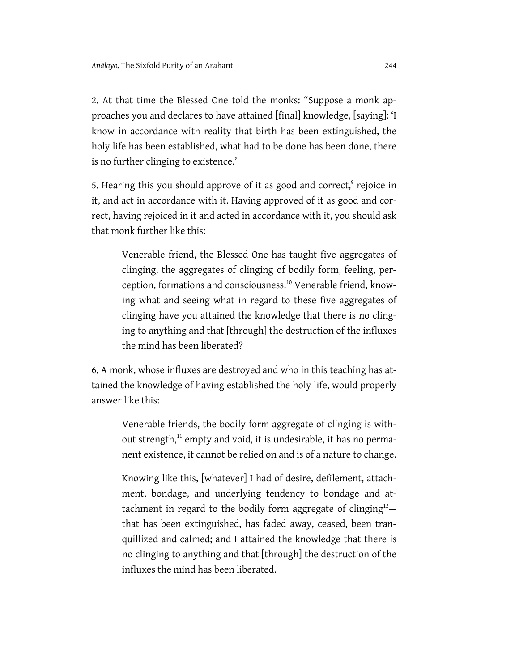2. At that time the Blessed One told the monks: "Suppose a monk approaches you and declares to have attained [final] knowledge, [saying]: 'I know in accordance with reality that birth has been extinguished, the holy life has been established, what had to be done has been done, there is no further clinging to existence.'

5. Hearing this you should approve of it as good and correct,<sup>9</sup> rejoice in it, and act in accordance with it. Having approved of it as good and correct, having rejoiced in it and acted in accordance with it, you should ask that monk further like this:

Venerable friend, the Blessed One has taught five aggregates of clinging, the aggregates of clinging of bodily form, feeling, perception, formations and consciousness.10 Venerable friend, knowing what and seeing what in regard to these five aggregates of clinging have you attained the knowledge that there is no clinging to anything and that [through] the destruction of the influxes the mind has been liberated?

6. A monk, whose influxes are destroyed and who in this teaching has attained the knowledge of having established the holy life, would properly answer like this:

Venerable friends, the bodily form aggregate of clinging is without strength,<sup>11</sup> empty and void, it is undesirable, it has no permanent existence, it cannot be relied on and is of a nature to change.

Knowing like this, [whatever] I had of desire, defilement, attachment, bondage, and underlying tendency to bondage and attachment in regard to the bodily form aggregate of clinging $12$ that has been extinguished, has faded away, ceased, been tranquillized and calmed; and I attained the knowledge that there is no clinging to anything and that [through] the destruction of the influxes the mind has been liberated.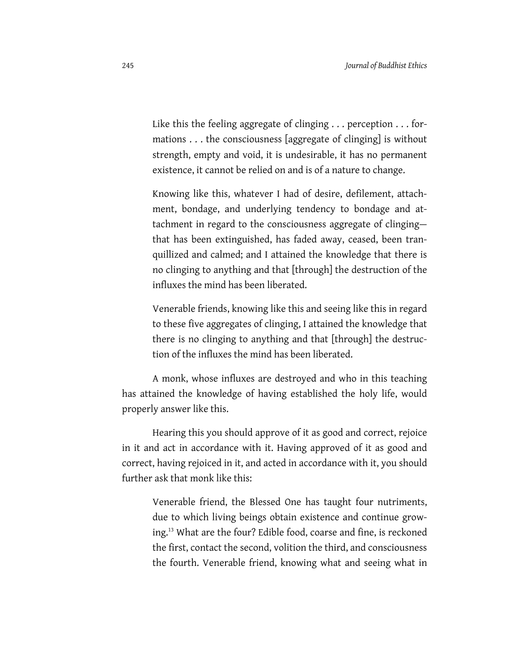Like this the feeling aggregate of clinging . . . perception . . . formations . . . the consciousness [aggregate of clinging] is without strength, empty and void, it is undesirable, it has no permanent existence, it cannot be relied on and is of a nature to change.

Knowing like this, whatever I had of desire, defilement, attachment, bondage, and underlying tendency to bondage and attachment in regard to the consciousness aggregate of clinging that has been extinguished, has faded away, ceased, been tranquillized and calmed; and I attained the knowledge that there is no clinging to anything and that [through] the destruction of the influxes the mind has been liberated.

Venerable friends, knowing like this and seeing like this in regard to these five aggregates of clinging, I attained the knowledge that there is no clinging to anything and that [through] the destruction of the influxes the mind has been liberated.

A monk, whose influxes are destroyed and who in this teaching has attained the knowledge of having established the holy life, would properly answer like this.

Hearing this you should approve of it as good and correct, rejoice in it and act in accordance with it. Having approved of it as good and correct, having rejoiced in it, and acted in accordance with it, you should further ask that monk like this:

Venerable friend, the Blessed One has taught four nutriments, due to which living beings obtain existence and continue growing.13 What are the four? Edible food, coarse and fine, is reckoned the first, contact the second, volition the third, and consciousness the fourth. Venerable friend, knowing what and seeing what in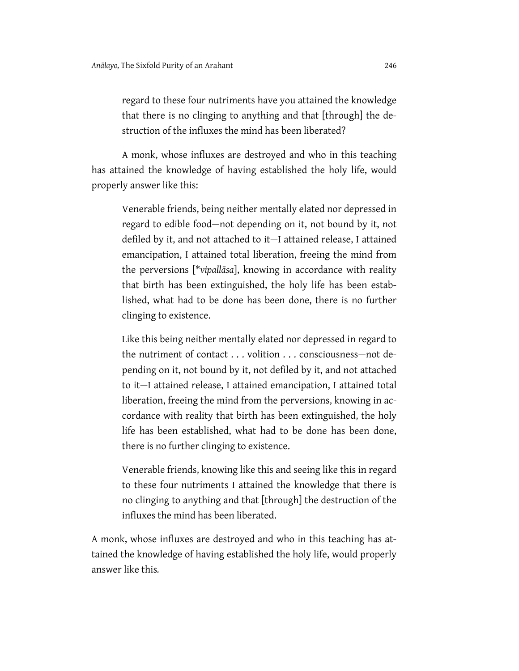regard to these four nutriments have you attained the knowledge that there is no clinging to anything and that [through] the destruction of the influxes the mind has been liberated?

A monk, whose influxes are destroyed and who in this teaching has attained the knowledge of having established the holy life, would properly answer like this:

Venerable friends, being neither mentally elated nor depressed in regard to edible food—not depending on it, not bound by it, not defiled by it, and not attached to it—I attained release, I attained emancipation, I attained total liberation, freeing the mind from the perversions [\**vipallāsa*], knowing in accordance with reality that birth has been extinguished, the holy life has been established, what had to be done has been done, there is no further clinging to existence.

Like this being neither mentally elated nor depressed in regard to the nutriment of contact . . . volition . . . consciousness—not depending on it, not bound by it, not defiled by it, and not attached to it—I attained release, I attained emancipation, I attained total liberation, freeing the mind from the perversions, knowing in accordance with reality that birth has been extinguished, the holy life has been established, what had to be done has been done, there is no further clinging to existence.

Venerable friends, knowing like this and seeing like this in regard to these four nutriments I attained the knowledge that there is no clinging to anything and that [through] the destruction of the influxes the mind has been liberated.

A monk, whose influxes are destroyed and who in this teaching has attained the knowledge of having established the holy life, would properly answer like this*.*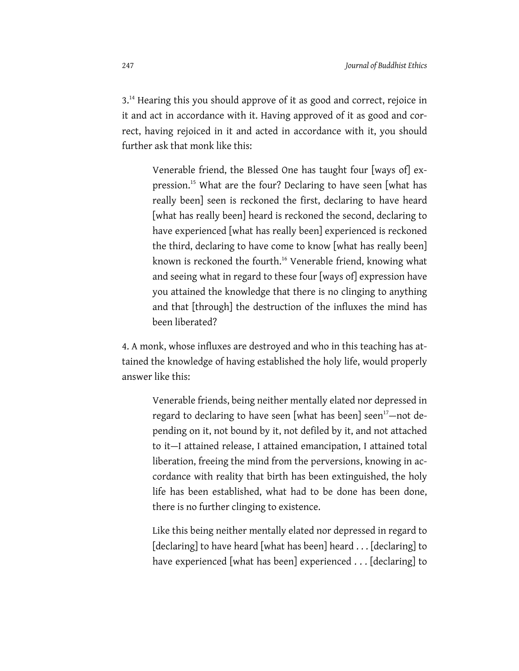3.<sup>14</sup> Hearing this you should approve of it as good and correct, rejoice in it and act in accordance with it. Having approved of it as good and correct, having rejoiced in it and acted in accordance with it, you should further ask that monk like this:

Venerable friend, the Blessed One has taught four [ways of] expression.15 What are the four? Declaring to have seen [what has really been] seen is reckoned the first, declaring to have heard [what has really been] heard is reckoned the second, declaring to have experienced [what has really been] experienced is reckoned the third, declaring to have come to know [what has really been] known is reckoned the fourth.<sup>16</sup> Venerable friend, knowing what and seeing what in regard to these four [ways of] expression have you attained the knowledge that there is no clinging to anything and that [through] the destruction of the influxes the mind has been liberated?

4. A monk, whose influxes are destroyed and who in this teaching has attained the knowledge of having established the holy life, would properly answer like this:

Venerable friends, being neither mentally elated nor depressed in regard to declaring to have seen [what has been] seen<sup>17</sup>—not depending on it, not bound by it, not defiled by it, and not attached to it—I attained release, I attained emancipation, I attained total liberation, freeing the mind from the perversions, knowing in accordance with reality that birth has been extinguished, the holy life has been established, what had to be done has been done, there is no further clinging to existence.

Like this being neither mentally elated nor depressed in regard to [declaring] to have heard [what has been] heard . . . [declaring] to have experienced [what has been] experienced . . . [declaring] to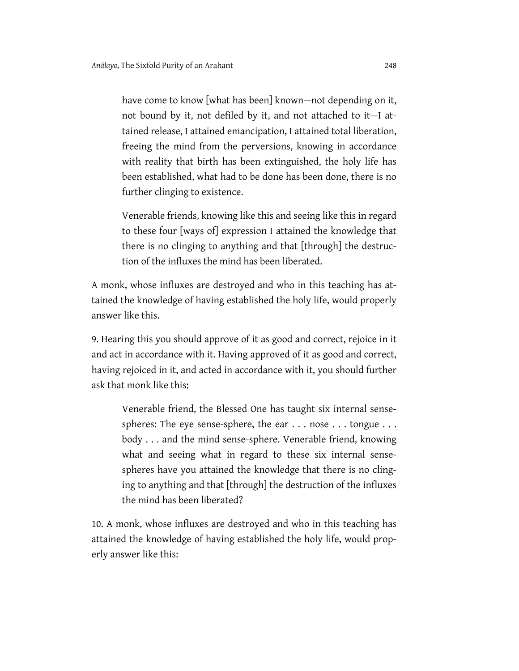have come to know [what has been] known—not depending on it, not bound by it, not defiled by it, and not attached to it—I attained release, I attained emancipation, I attained total liberation, freeing the mind from the perversions, knowing in accordance with reality that birth has been extinguished, the holy life has been established, what had to be done has been done, there is no further clinging to existence.

Venerable friends, knowing like this and seeing like this in regard to these four [ways of] expression I attained the knowledge that there is no clinging to anything and that [through] the destruction of the influxes the mind has been liberated.

A monk, whose influxes are destroyed and who in this teaching has attained the knowledge of having established the holy life, would properly answer like this.

9. Hearing this you should approve of it as good and correct, rejoice in it and act in accordance with it. Having approved of it as good and correct, having rejoiced in it, and acted in accordance with it, you should further ask that monk like this:

Venerable friend, the Blessed One has taught six internal sensespheres: The eye sense-sphere, the ear . . . nose . . . tongue . . . body . . . and the mind sense-sphere. Venerable friend, knowing what and seeing what in regard to these six internal sensespheres have you attained the knowledge that there is no clinging to anything and that [through] the destruction of the influxes the mind has been liberated?

10. A monk, whose influxes are destroyed and who in this teaching has attained the knowledge of having established the holy life, would properly answer like this: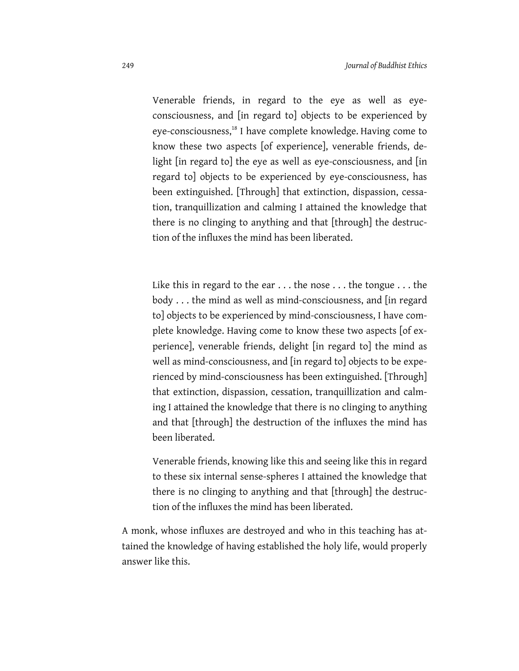Venerable friends, in regard to the eye as well as eyeconsciousness, and [in regard to] objects to be experienced by eye-consciousness,<sup>18</sup> I have complete knowledge. Having come to know these two aspects [of experience], venerable friends, delight [in regard to] the eye as well as eye-consciousness, and [in regard to] objects to be experienced by eye-consciousness, has been extinguished. [Through] that extinction, dispassion, cessation, tranquillization and calming I attained the knowledge that there is no clinging to anything and that [through] the destruction of the influxes the mind has been liberated.

Like this in regard to the ear . . . the nose . . . the tongue . . . the body . . . the mind as well as mind-consciousness, and [in regard to] objects to be experienced by mind-consciousness, I have complete knowledge. Having come to know these two aspects [of experience], venerable friends, delight [in regard to] the mind as well as mind-consciousness, and [in regard to] objects to be experienced by mind-consciousness has been extinguished. [Through] that extinction, dispassion, cessation, tranquillization and calming I attained the knowledge that there is no clinging to anything and that [through] the destruction of the influxes the mind has been liberated.

Venerable friends, knowing like this and seeing like this in regard to these six internal sense-spheres I attained the knowledge that there is no clinging to anything and that [through] the destruction of the influxes the mind has been liberated.

A monk, whose influxes are destroyed and who in this teaching has attained the knowledge of having established the holy life, would properly answer like this.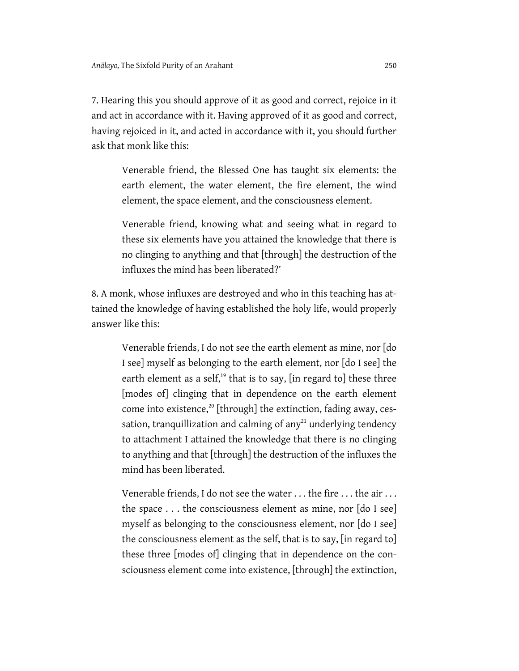7. Hearing this you should approve of it as good and correct, rejoice in it and act in accordance with it. Having approved of it as good and correct, having rejoiced in it, and acted in accordance with it, you should further ask that monk like this:

Venerable friend, the Blessed One has taught six elements: the earth element, the water element, the fire element, the wind element, the space element, and the consciousness element.

Venerable friend, knowing what and seeing what in regard to these six elements have you attained the knowledge that there is no clinging to anything and that [through] the destruction of the influxes the mind has been liberated?'

8. A monk, whose influxes are destroyed and who in this teaching has attained the knowledge of having established the holy life, would properly answer like this:

Venerable friends, I do not see the earth element as mine, nor [do I see] myself as belonging to the earth element, nor [do I see] the earth element as a self, $19$  that is to say, [in regard to] these three [modes of] clinging that in dependence on the earth element come into existence, $20$  [through] the extinction, fading away, cessation, tranquillization and calming of any $^{21}$  underlying tendency to attachment I attained the knowledge that there is no clinging to anything and that [through] the destruction of the influxes the mind has been liberated.

Venerable friends, I do not see the water . . . the fire . . . the air . . . the space . . . the consciousness element as mine, nor [do I see] myself as belonging to the consciousness element, nor [do I see] the consciousness element as the self, that is to say, [in regard to] these three [modes of] clinging that in dependence on the consciousness element come into existence, [through] the extinction,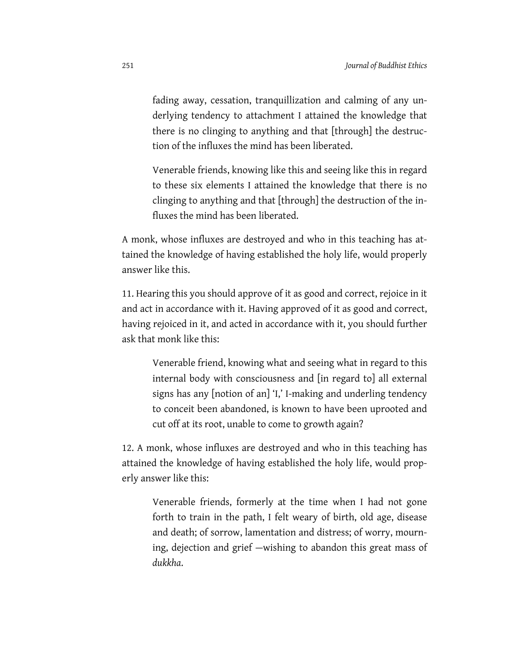fading away, cessation, tranquillization and calming of any underlying tendency to attachment I attained the knowledge that there is no clinging to anything and that [through] the destruction of the influxes the mind has been liberated.

Venerable friends, knowing like this and seeing like this in regard to these six elements I attained the knowledge that there is no clinging to anything and that [through] the destruction of the influxes the mind has been liberated.

A monk, whose influxes are destroyed and who in this teaching has attained the knowledge of having established the holy life, would properly answer like this.

11. Hearing this you should approve of it as good and correct, rejoice in it and act in accordance with it. Having approved of it as good and correct, having rejoiced in it, and acted in accordance with it, you should further ask that monk like this:

Venerable friend, knowing what and seeing what in regard to this internal body with consciousness and [in regard to] all external signs has any [notion of an] 'I,' I-making and underling tendency to conceit been abandoned, is known to have been uprooted and cut off at its root, unable to come to growth again?

12. A monk, whose influxes are destroyed and who in this teaching has attained the knowledge of having established the holy life, would properly answer like this:

Venerable friends, formerly at the time when I had not gone forth to train in the path, I felt weary of birth, old age, disease and death; of sorrow, lamentation and distress; of worry, mourning, dejection and grief —wishing to abandon this great mass of *dukkha*.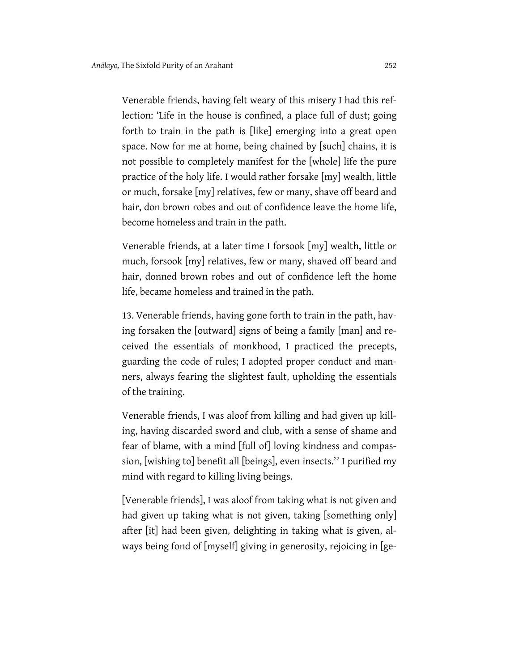Venerable friends, having felt weary of this misery I had this reflection: 'Life in the house is confined, a place full of dust; going forth to train in the path is [like] emerging into a great open space. Now for me at home, being chained by [such] chains, it is not possible to completely manifest for the [whole] life the pure practice of the holy life. I would rather forsake [my] wealth, little or much, forsake [my] relatives, few or many, shave off beard and hair, don brown robes and out of confidence leave the home life, become homeless and train in the path.

Venerable friends, at a later time I forsook [my] wealth, little or much, forsook [my] relatives, few or many, shaved off beard and hair, donned brown robes and out of confidence left the home life, became homeless and trained in the path.

13. Venerable friends, having gone forth to train in the path, having forsaken the [outward] signs of being a family [man] and received the essentials of monkhood, I practiced the precepts, guarding the code of rules; I adopted proper conduct and manners, always fearing the slightest fault, upholding the essentials of the training.

Venerable friends, I was aloof from killing and had given up killing, having discarded sword and club, with a sense of shame and fear of blame, with a mind [full of] loving kindness and compassion, [wishing to] benefit all [beings], even insects.<sup>22</sup> I purified my mind with regard to killing living beings.

[Venerable friends], I was aloof from taking what is not given and had given up taking what is not given, taking [something only] after [it] had been given, delighting in taking what is given, always being fond of [myself] giving in generosity, rejoicing in [ge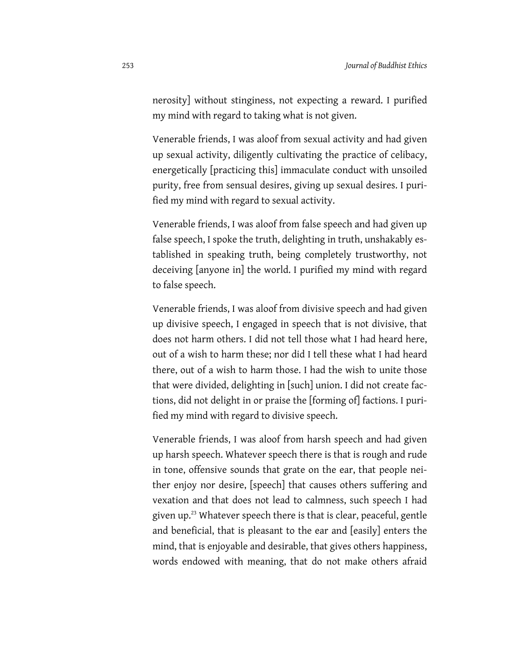nerosity] without stinginess, not expecting a reward. I purified my mind with regard to taking what is not given.

Venerable friends, I was aloof from sexual activity and had given up sexual activity, diligently cultivating the practice of celibacy, energetically [practicing this] immaculate conduct with unsoiled purity, free from sensual desires, giving up sexual desires. I purified my mind with regard to sexual activity.

Venerable friends, I was aloof from false speech and had given up false speech, I spoke the truth, delighting in truth, unshakably established in speaking truth, being completely trustworthy, not deceiving [anyone in] the world. I purified my mind with regard to false speech.

Venerable friends, I was aloof from divisive speech and had given up divisive speech, I engaged in speech that is not divisive, that does not harm others. I did not tell those what I had heard here, out of a wish to harm these; nor did I tell these what I had heard there, out of a wish to harm those. I had the wish to unite those that were divided, delighting in [such] union. I did not create factions, did not delight in or praise the [forming of] factions. I purified my mind with regard to divisive speech.

Venerable friends, I was aloof from harsh speech and had given up harsh speech. Whatever speech there is that is rough and rude in tone, offensive sounds that grate on the ear, that people neither enjoy nor desire, [speech] that causes others suffering and vexation and that does not lead to calmness, such speech I had given up.<sup>23</sup> Whatever speech there is that is clear, peaceful, gentle and beneficial, that is pleasant to the ear and [easily] enters the mind, that is enjoyable and desirable, that gives others happiness, words endowed with meaning, that do not make others afraid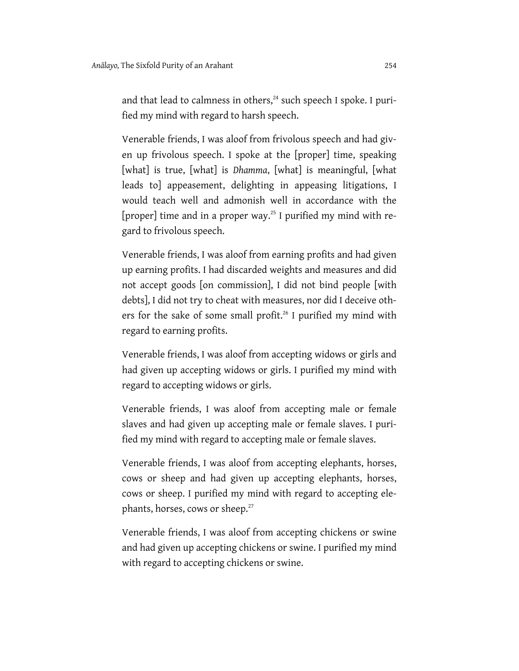and that lead to calmness in others, $^{24}$  such speech I spoke. I purified my mind with regard to harsh speech.

Venerable friends, I was aloof from frivolous speech and had given up frivolous speech. I spoke at the [proper] time, speaking [what] is true, [what] is *Dhamma*, [what] is meaningful, [what leads to] appeasement, delighting in appeasing litigations, I would teach well and admonish well in accordance with the [proper] time and in a proper way.<sup>25</sup> I purified my mind with regard to frivolous speech.

Venerable friends, I was aloof from earning profits and had given up earning profits. I had discarded weights and measures and did not accept goods [on commission], I did not bind people [with debts], I did not try to cheat with measures, nor did I deceive others for the sake of some small profit.<sup>26</sup> I purified my mind with regard to earning profits.

Venerable friends, I was aloof from accepting widows or girls and had given up accepting widows or girls. I purified my mind with regard to accepting widows or girls.

Venerable friends, I was aloof from accepting male or female slaves and had given up accepting male or female slaves. I purified my mind with regard to accepting male or female slaves.

Venerable friends, I was aloof from accepting elephants, horses, cows or sheep and had given up accepting elephants, horses, cows or sheep. I purified my mind with regard to accepting elephants, horses, cows or sheep.<sup>27</sup>

Venerable friends, I was aloof from accepting chickens or swine and had given up accepting chickens or swine. I purified my mind with regard to accepting chickens or swine.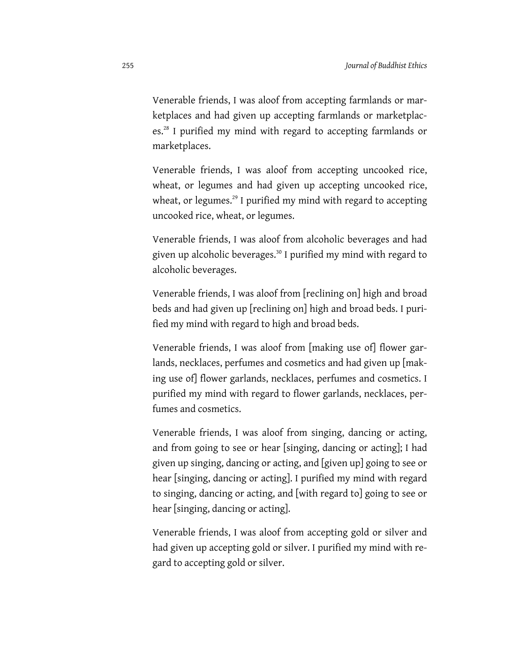Venerable friends, I was aloof from accepting farmlands or marketplaces and had given up accepting farmlands or marketplaces.<sup>28</sup> I purified my mind with regard to accepting farmlands or marketplaces.

Venerable friends, I was aloof from accepting uncooked rice, wheat, or legumes and had given up accepting uncooked rice, wheat, or legumes.<sup>29</sup> I purified my mind with regard to accepting uncooked rice, wheat, or legumes.

Venerable friends, I was aloof from alcoholic beverages and had given up alcoholic beverages.30 I purified my mind with regard to alcoholic beverages.

Venerable friends, I was aloof from [reclining on] high and broad beds and had given up [reclining on] high and broad beds. I purified my mind with regard to high and broad beds.

Venerable friends, I was aloof from [making use of] flower garlands, necklaces, perfumes and cosmetics and had given up [making use of] flower garlands, necklaces, perfumes and cosmetics. I purified my mind with regard to flower garlands, necklaces, perfumes and cosmetics.

Venerable friends, I was aloof from singing, dancing or acting, and from going to see or hear [singing, dancing or acting]; I had given up singing, dancing or acting, and [given up] going to see or hear [singing, dancing or acting]. I purified my mind with regard to singing, dancing or acting, and [with regard to] going to see or hear [singing, dancing or acting].

Venerable friends, I was aloof from accepting gold or silver and had given up accepting gold or silver. I purified my mind with regard to accepting gold or silver.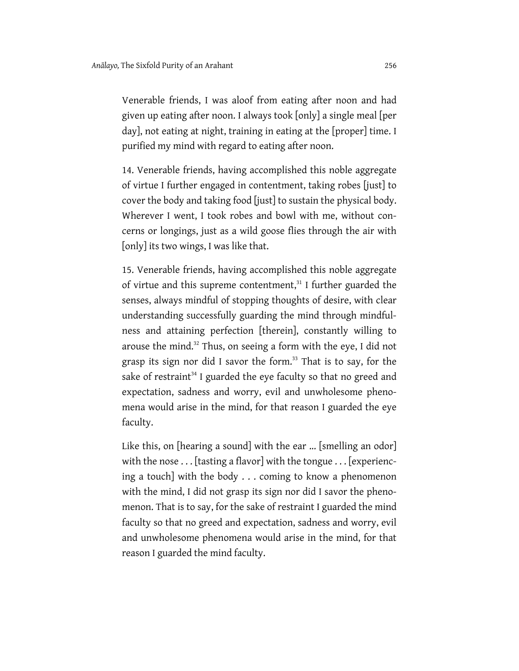Venerable friends, I was aloof from eating after noon and had given up eating after noon. I always took [only] a single meal [per day], not eating at night, training in eating at the [proper] time. I purified my mind with regard to eating after noon.

14. Venerable friends, having accomplished this noble aggregate of virtue I further engaged in contentment, taking robes [just] to cover the body and taking food [just] to sustain the physical body. Wherever I went, I took robes and bowl with me, without concerns or longings, just as a wild goose flies through the air with [only] its two wings, I was like that.

15. Venerable friends, having accomplished this noble aggregate of virtue and this supreme contentment, $31$  I further guarded the senses, always mindful of stopping thoughts of desire, with clear understanding successfully guarding the mind through mindfulness and attaining perfection [therein], constantly willing to arouse the mind.32 Thus, on seeing a form with the eye, I did not grasp its sign nor did I savor the form.<sup>33</sup> That is to say, for the sake of restraint<sup>34</sup> I guarded the eye faculty so that no greed and expectation, sadness and worry, evil and unwholesome phenomena would arise in the mind, for that reason I guarded the eye faculty.

Like this, on [hearing a sound] with the ear ... [smelling an odor] with the nose . . . [tasting a flavor] with the tongue . . . [experiencing a touch] with the body . . . coming to know a phenomenon with the mind, I did not grasp its sign nor did I savor the phenomenon. That is to say, for the sake of restraint I guarded the mind faculty so that no greed and expectation, sadness and worry, evil and unwholesome phenomena would arise in the mind, for that reason I guarded the mind faculty.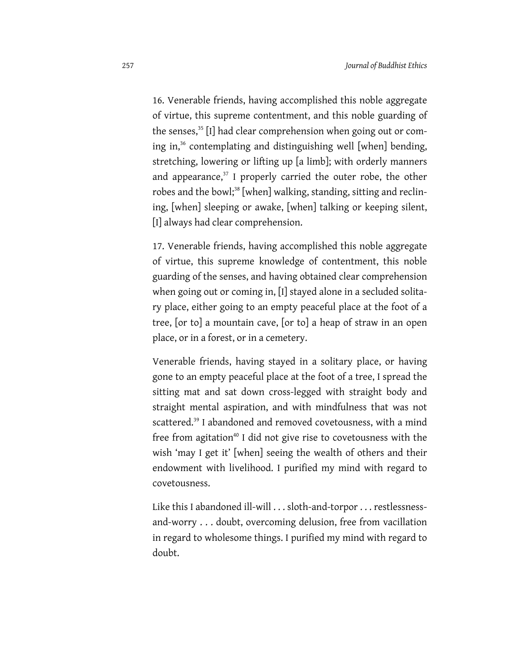16. Venerable friends, having accomplished this noble aggregate of virtue, this supreme contentment, and this noble guarding of the senses,<sup>35</sup> [I] had clear comprehension when going out or coming in,<sup>36</sup> contemplating and distinguishing well [when] bending, stretching, lowering or lifting up [a limb]; with orderly manners and appearance, $37$  I properly carried the outer robe, the other robes and the bowl;<sup>38</sup> [when] walking, standing, sitting and reclining, [when] sleeping or awake, [when] talking or keeping silent, [I] always had clear comprehension.

17. Venerable friends, having accomplished this noble aggregate of virtue, this supreme knowledge of contentment, this noble guarding of the senses, and having obtained clear comprehension when going out or coming in, [I] stayed alone in a secluded solitary place, either going to an empty peaceful place at the foot of a tree, [or to] a mountain cave, [or to] a heap of straw in an open place, or in a forest, or in a cemetery.

Venerable friends, having stayed in a solitary place, or having gone to an empty peaceful place at the foot of a tree, I spread the sitting mat and sat down cross-legged with straight body and straight mental aspiration, and with mindfulness that was not scattered.<sup>39</sup> I abandoned and removed covetousness, with a mind free from agitation<sup>40</sup> I did not give rise to covetousness with the wish 'may I get it' [when] seeing the wealth of others and their endowment with livelihood. I purified my mind with regard to covetousness.

Like this I abandoned ill-will . . . sloth-and-torpor . . . restlessnessand-worry . . . doubt, overcoming delusion, free from vacillation in regard to wholesome things. I purified my mind with regard to doubt.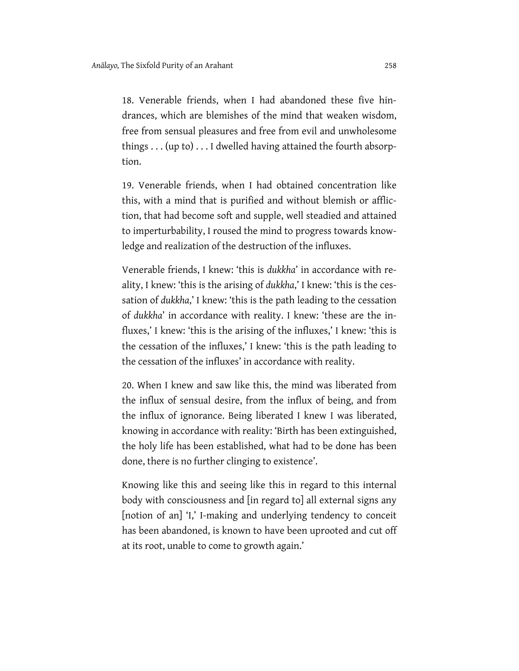18. Venerable friends, when I had abandoned these five hindrances, which are blemishes of the mind that weaken wisdom, free from sensual pleasures and free from evil and unwholesome things . . . (up to) . . . I dwelled having attained the fourth absorption.

19. Venerable friends, when I had obtained concentration like this, with a mind that is purified and without blemish or affliction, that had become soft and supple, well steadied and attained to imperturbability, I roused the mind to progress towards knowledge and realization of the destruction of the influxes.

Venerable friends, I knew: 'this is *dukkha*' in accordance with reality, I knew: 'this is the arising of *dukkha*,' I knew: 'this is the cessation of *dukkha*,' I knew: 'this is the path leading to the cessation of *dukkha*' in accordance with reality. I knew: 'these are the influxes,' I knew: 'this is the arising of the influxes,' I knew: 'this is the cessation of the influxes,' I knew: 'this is the path leading to the cessation of the influxes' in accordance with reality.

20. When I knew and saw like this, the mind was liberated from the influx of sensual desire, from the influx of being, and from the influx of ignorance. Being liberated I knew I was liberated, knowing in accordance with reality: 'Birth has been extinguished, the holy life has been established, what had to be done has been done, there is no further clinging to existence'.

Knowing like this and seeing like this in regard to this internal body with consciousness and [in regard to] all external signs any [notion of an] 'I,' I-making and underlying tendency to conceit has been abandoned, is known to have been uprooted and cut off at its root, unable to come to growth again.'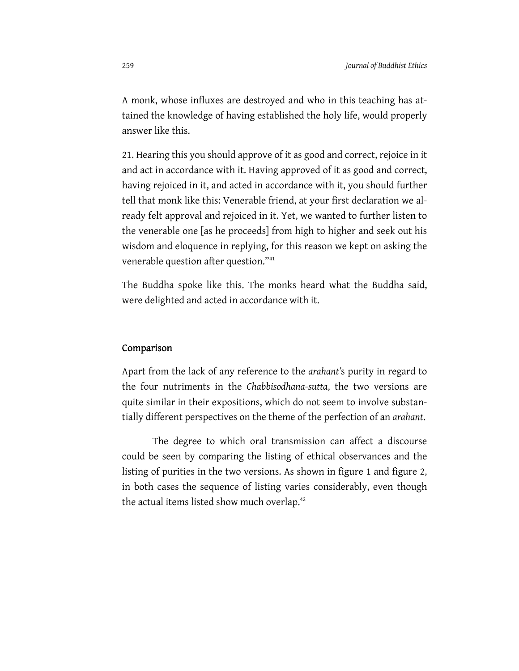A monk, whose influxes are destroyed and who in this teaching has attained the knowledge of having established the holy life, would properly answer like this.

21. Hearing this you should approve of it as good and correct, rejoice in it and act in accordance with it. Having approved of it as good and correct, having rejoiced in it, and acted in accordance with it, you should further tell that monk like this: Venerable friend, at your first declaration we already felt approval and rejoiced in it. Yet, we wanted to further listen to the venerable one [as he proceeds] from high to higher and seek out his wisdom and eloquence in replying, for this reason we kept on asking the venerable question after question."41

The Buddha spoke like this. The monks heard what the Buddha said, were delighted and acted in accordance with it.

#### Comparison

Apart from the lack of any reference to the *arahant'*s purity in regard to the four nutriments in the *Chabbisodhana-sutta*, the two versions are quite similar in their expositions, which do not seem to involve substantially different perspectives on the theme of the perfection of an *arahant*.

The degree to which oral transmission can affect a discourse could be seen by comparing the listing of ethical observances and the listing of purities in the two versions. As shown in figure 1 and figure 2, in both cases the sequence of listing varies considerably, even though the actual items listed show much overlap.<sup>42</sup>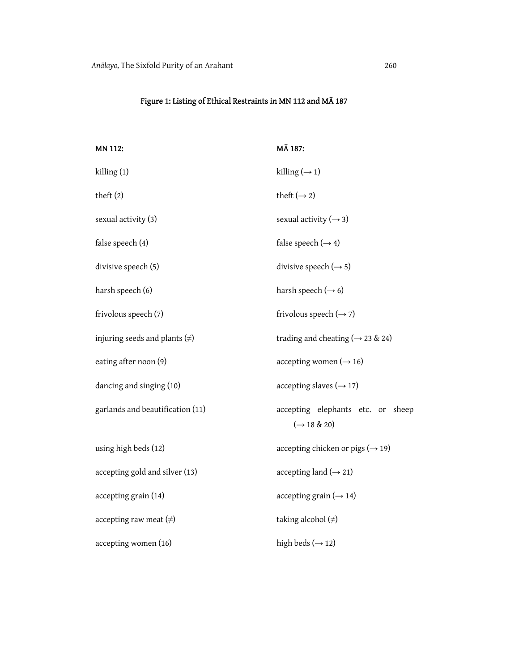# Figure 1: Listing of Ethical Restraints in MN 112 and MĀ 187

| MN 112:                            | MĀ 187:                                               |
|------------------------------------|-------------------------------------------------------|
| killing(1)                         | killing $(\rightarrow 1)$                             |
| theft $(2)$                        | theft $(\rightarrow 2)$                               |
| sexual activity (3)                | sexual activity $(\rightarrow$ 3)                     |
| false speech (4)                   | false speech $(\rightarrow 4)$                        |
| divisive speech (5)                | divisive speech $(\rightarrow 5)$                     |
| harsh speech (6)                   | harsh speech $(\rightarrow 6)$                        |
| frivolous speech (7)               | frivolous speech $(\rightarrow$ 7)                    |
| injuring seeds and plants $(\neq)$ | trading and cheating ( $\rightarrow$ 23 & 24)         |
| eating after noon (9)              | accepting women $(\rightarrow 16)$                    |
| dancing and singing (10)           | accepting slaves $(\rightarrow 17)$                   |
| garlands and beautification (11)   | accepting elephants etc. or sheep<br>$(\to 18 \& 20)$ |
| using high beds (12)               | accepting chicken or pigs ( $\rightarrow$ 19)         |
| accepting gold and silver (13)     | accepting land $(\rightarrow 21)$                     |
| accepting grain (14)               | accepting grain $(\rightarrow 14)$                    |
| accepting raw meat $(\neq)$        | taking alcohol $(\neq)$                               |
| accepting women (16)               | high beds $(\rightarrow 12)$                          |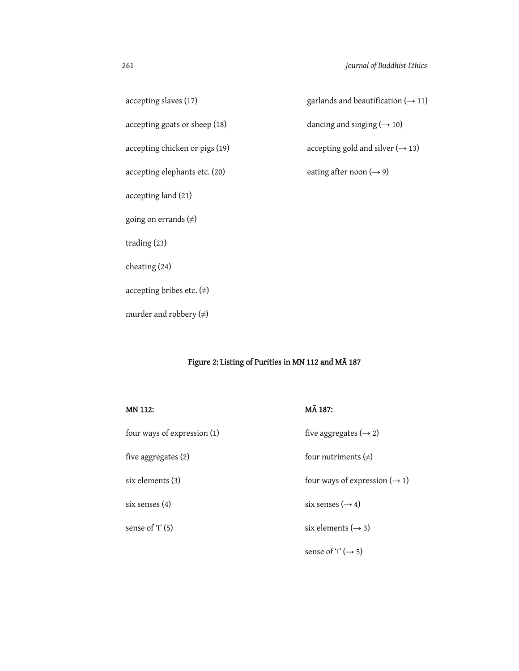accepting slaves (17) garlands and beautification ( $\rightarrow$  11)  $accepting goats or sheep (18)$  dancing and singing ( $\rightarrow$  10) accepting chicken or pigs (19)  $\qquad \qquad \text{accepting gold and silver } (\rightarrow 13)$ accepting elephants etc. (20) eating after noon ( $\rightarrow$  9) accepting land (21) going on errands (≠) trading (23) cheating (24) accepting bribes etc.  $(\neq)$ murder and robbery  $(\neq)$ 

# Figure 2: Listing of Purities in MN 112 and MĀ 187

MĀ 187:

| four ways of expression (1) | five aggregates $(\rightarrow 2)$         |
|-----------------------------|-------------------------------------------|
| five aggregates (2)         | four nutriments $(\neq)$                  |
| six elements (3)            | four ways of expression $(\rightarrow 1)$ |
| six senses (4)              | six senses $(\rightarrow 4)$              |
| sense of 'I' (5)            | six elements $(\rightarrow$ 3)            |
|                             | sense of 'I' $(\rightarrow 5)$            |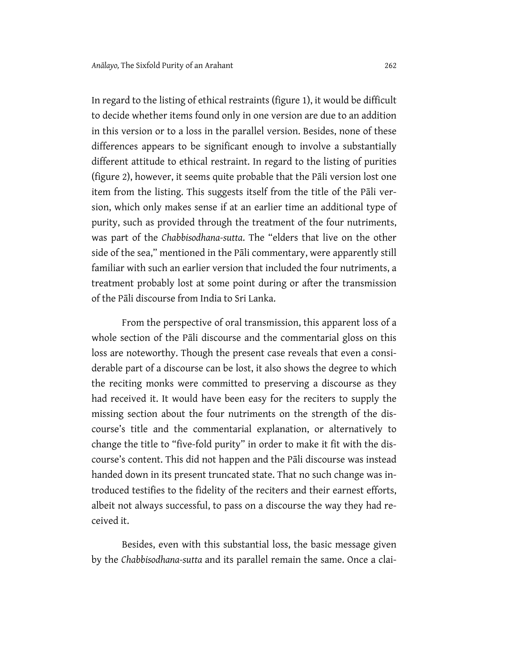In regard to the listing of ethical restraints (figure 1), it would be difficult to decide whether items found only in one version are due to an addition in this version or to a loss in the parallel version. Besides, none of these differences appears to be significant enough to involve a substantially different attitude to ethical restraint. In regard to the listing of purities (figure 2), however, it seems quite probable that the Pāli version lost one item from the listing. This suggests itself from the title of the Pāli version, which only makes sense if at an earlier time an additional type of purity, such as provided through the treatment of the four nutriments, was part of the *Chabbisodhana-sutta*. The "elders that live on the other side of the sea," mentioned in the Pāli commentary, were apparently still familiar with such an earlier version that included the four nutriments, a treatment probably lost at some point during or after the transmission of the Pāli discourse from India to Sri Lanka.

From the perspective of oral transmission, this apparent loss of a whole section of the Pāli discourse and the commentarial gloss on this loss are noteworthy. Though the present case reveals that even a considerable part of a discourse can be lost, it also shows the degree to which the reciting monks were committed to preserving a discourse as they had received it. It would have been easy for the reciters to supply the missing section about the four nutriments on the strength of the discourse's title and the commentarial explanation, or alternatively to change the title to "five-fold purity" in order to make it fit with the discourse's content. This did not happen and the Pāli discourse was instead handed down in its present truncated state. That no such change was introduced testifies to the fidelity of the reciters and their earnest efforts, albeit not always successful, to pass on a discourse the way they had received it.

Besides, even with this substantial loss, the basic message given by the *Chabbisodhana-sutta* and its parallel remain the same. Once a clai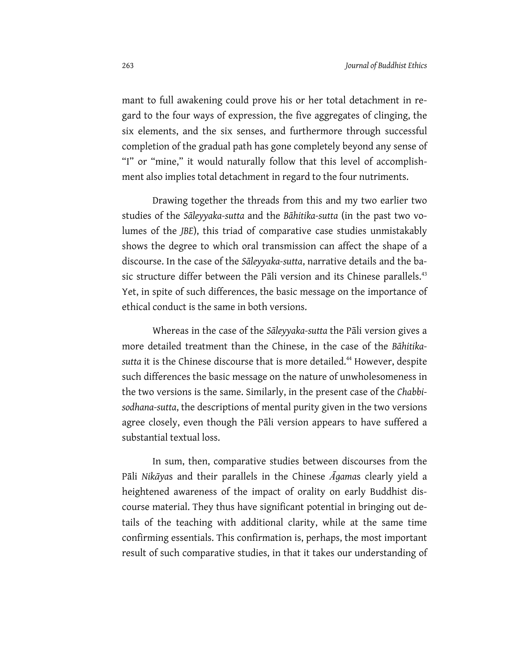mant to full awakening could prove his or her total detachment in regard to the four ways of expression, the five aggregates of clinging, the six elements, and the six senses, and furthermore through successful completion of the gradual path has gone completely beyond any sense of "I" or "mine," it would naturally follow that this level of accomplishment also implies total detachment in regard to the four nutriments.

Drawing together the threads from this and my two earlier two studies of the *Sāleyyaka-sutta* and the *Bāhitika-sutta* (in the past two volumes of the *JBE*), this triad of comparative case studies unmistakably shows the degree to which oral transmission can affect the shape of a discourse. In the case of the *Sāleyyaka-sutta*, narrative details and the basic structure differ between the Pāli version and its Chinese parallels.<sup>43</sup> Yet, in spite of such differences, the basic message on the importance of ethical conduct is the same in both versions.

Whereas in the case of the *Sāleyyaka-sutta* the Pāli version gives a more detailed treatment than the Chinese, in the case of the *Bāhitika*sutta it is the Chinese discourse that is more detailed.<sup>44</sup> However, despite such differences the basic message on the nature of unwholesomeness in the two versions is the same. Similarly, in the present case of the *Chabbisodhana-sutta*, the descriptions of mental purity given in the two versions agree closely, even though the Pāli version appears to have suffered a substantial textual loss.

In sum, then, comparative studies between discourses from the Pāli *Nikāya*s and their parallels in the Chinese *Āgama*s clearly yield a heightened awareness of the impact of orality on early Buddhist discourse material. They thus have significant potential in bringing out details of the teaching with additional clarity, while at the same time confirming essentials. This confirmation is, perhaps, the most important result of such comparative studies, in that it takes our understanding of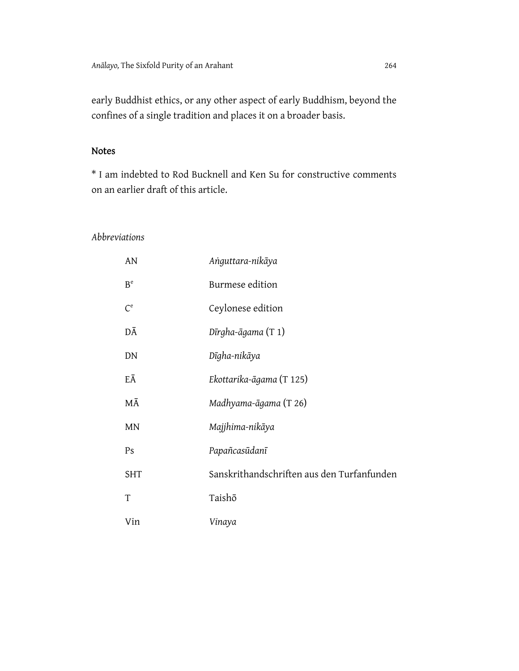early Buddhist ethics, or any other aspect of early Buddhism, beyond the confines of a single tradition and places it on a broader basis.

# Notes

\* I am indebted to Rod Bucknell and Ken Su for constructive comments on an earlier draft of this article.

## *Abbreviations*

| AN             | Anguttara-nikāya                              |
|----------------|-----------------------------------------------|
| B <sup>e</sup> | Burmese edition                               |
| $C^e$          | Ceylonese edition                             |
| DĀ             | $D\bar{\iota}$ rgha- $\bar{\iota}$ gama (T 1) |
| DN             | Dīgha-nikāya                                  |
| EĀ             | Ekottarika-āgama (T 125)                      |
| МĀ             | Madhyama-āgama (T 26)                         |
| <b>MN</b>      | Majjhima-nikāya                               |
| Ps             | Papañcasūdanī                                 |
| <b>SHT</b>     | Sanskrithandschriften aus den Turfanfunden    |
| T              | Taishō                                        |
| Vin            | Vinaya                                        |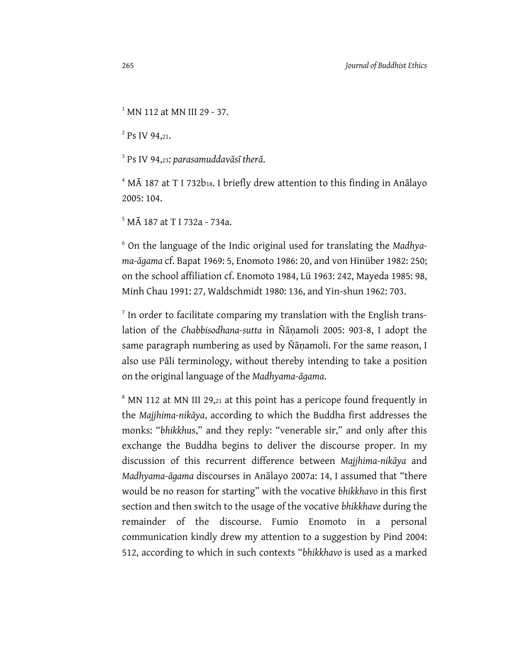<sup>1</sup> MN 112 at MN III 29 - 37.

 $2^{2}$  Ps IV 94,21.

3 Ps IV 94,23: *parasamuddavāsī therā*.

<sup>4</sup> MĀ 187 at T I 732b18. I briefly drew attention to this finding in Anālayo 2005: 104.

5 MĀ 187 at T I 732a - 734a.

6 On the language of the Indic original used for translating the *Madhyama-āgama* cf. Bapat 1969: 5, Enomoto 1986: 20, and von Hinüber 1982: 250; on the school affiliation cf. Enomoto 1984, Lü 1963: 242, Mayeda 1985: 98, Minh Chau 1991: 27, Waldschmidt 1980: 136, and Yin-shun 1962: 703.

 $7$  In order to facilitate comparing my translation with the English translation of the *Chabbisodhana-sutta* in Ñāṇamoli 2005: 903-8, I adopt the same paragraph numbering as used by Ñāṇamoli. For the same reason, I also use Pāli terminology, without thereby intending to take a position on the original language of the *Madhyama-āgama*.

<sup>8</sup> MN 112 at MN III 29,21 at this point has a pericope found frequently in the *Majjhima-nikāya*, according to which the Buddha first addresses the monks: "*bhikkhu*s," and they reply: "venerable sir," and only after this exchange the Buddha begins to deliver the discourse proper. In my discussion of this recurrent difference between *Majjhima-nikāya* and *Madhyama-āgama* discourses in Anālayo 2007a: 14, I assumed that "there would be no reason for starting" with the vocative *bhikkhavo* in this first section and then switch to the usage of the vocative *bhikkhave* during the remainder of the discourse. Fumio Enomoto in a personal communication kindly drew my attention to a suggestion by Pind 2004: 512, according to which in such contexts "*bhikkhavo* is used as a marked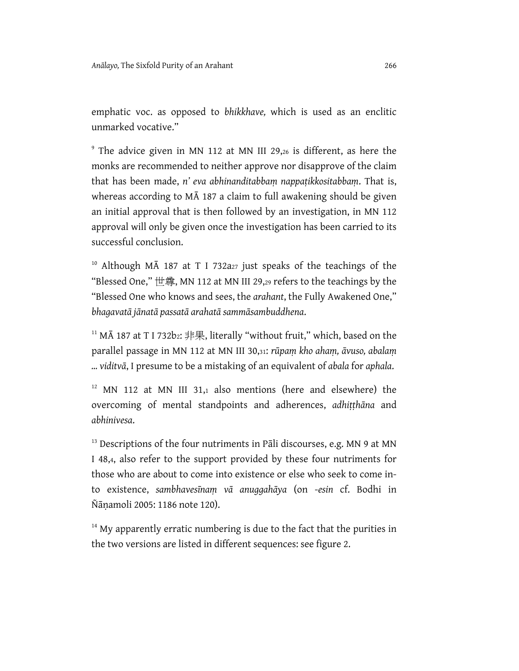emphatic voc. as opposed to *bhikkhave,* which is used as an enclitic unmarked vocative."

<sup>9</sup> The advice given in MN 112 at MN III 29,26 is different, as here the monks are recommended to neither approve nor disapprove of the claim that has been made, *n' eva abhinanditabbaṃ nappaṭikkositabbaṃ*. That is, whereas according to MĀ 187 a claim to full awakening should be given an initial approval that is then followed by an investigation, in MN 112 approval will only be given once the investigation has been carried to its successful conclusion.

<sup>10</sup> Although M $\bar{A}$  187 at T I 732a<sub>27</sub> just speaks of the teachings of the "Blessed One," 世尊, MN 112 at MN III 29,29 refers to the teachings by the "Blessed One who knows and sees, the *arahant*, the Fully Awakened One," *bhagavatā jānatā passatā arahatā sammāsambuddhena*.

<sup>11</sup> MA 187 at T I 732b2: 非果, literally "without fruit," which, based on the parallel passage in MN 112 at MN III 30,31: *rūpaṃ kho ahaṃ, āvuso, abalaṃ ... viditvā*, I presume to be a mistaking of an equivalent of *abala* for *aphala*.

 $12$  MN 112 at MN III 31,1 also mentions (here and elsewhere) the overcoming of mental standpoints and adherences, *adhiṭṭhāna* and *abhinivesa*.

 $13$  Descriptions of the four nutriments in Pali discourses, e.g. MN 9 at MN I 48,4, also refer to the support provided by these four nutriments for those who are about to come into existence or else who seek to come into existence, *sambhavesīnaṃ vā anuggahāya* (on -*esin* cf. Bodhi in Ñāṇamoli 2005: 1186 note 120).

 $14$  My apparently erratic numbering is due to the fact that the purities in the two versions are listed in different sequences: see figure 2.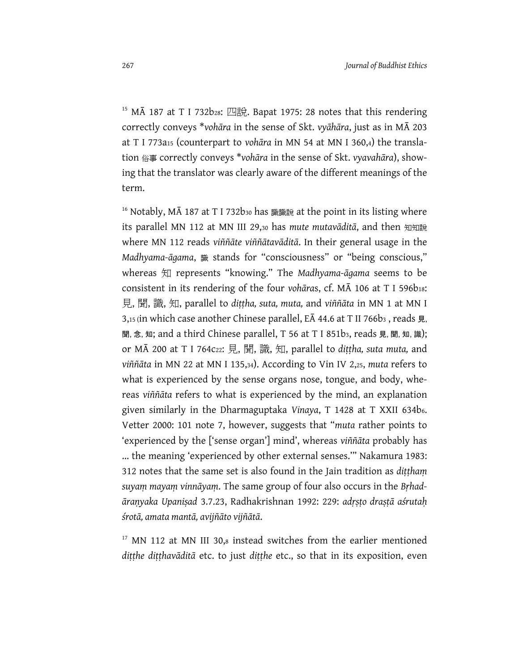<sup>15</sup> MA 187 at T I 732b28: 四說. Bapat 1975: 28 notes that this rendering correctly conveys \**vohāra* in the sense of Skt. *vyāhāra*, just as in MĀ 203 at T I 773a15 (counterpart to *vohāra* in MN 54 at MN I 360,4) the translation 俗事 correctly conveys \**vohāra* in the sense of Skt. *vyavahāra*), showing that the translator was clearly aware of the different meanings of the term.

<sup>16</sup> Notably, MA 187 at T I 732b<sub>30</sub> has 識識說 at the point in its listing where its parallel MN 112 at MN III 29,30 has *mute mutavāditā*, and then 知知說 where MN 112 reads *viññāte viññātavāditā*. In their general usage in the *Madhyama-āgama*, 識 stands for "consciousness" or "being conscious," whereas 知 represents "knowing." The *Madhyama-āgama* seems to be consistent in its rendering of the four *voh***āras**, cf. MA 106 at T I 596b18: 見, 聞, 識, 知, parallel to *diṭṭha, suta, muta,* and *viññāta* in MN 1 at MN I 3,15 (in which case another Chinese parallel, EA 44.6 at T II 766b3, reads 見, 聞, 念, 知; and a third Chinese parallel, T 56 at T I 851b3, reads 見, 聞, 知, 識); or MĀ 200 at T I 764c22: 見, 聞, 識, 知, parallel to *diṭṭha, suta muta,* and *viññāta* in MN 22 at MN I 135,34). According to Vin IV 2,25, *muta* refers to what is experienced by the sense organs nose, tongue, and body, whereas *viññāta* refers to what is experienced by the mind, an explanation given similarly in the Dharmaguptaka *Vinaya*, T 1428 at T XXII 634b6. Vetter 2000: 101 note 7, however, suggests that "*muta* rather points to 'experienced by the ['sense organ'] mind', whereas *viññāta* probably has ... the meaning 'experienced by other external senses.'" Nakamura 1983: 312 notes that the same set is also found in the Jain tradition as *diṭṭhaṃ suyaṃ mayaṃ vinnāyaṃ*. The same group of four also occurs in the *Bṛhadāraṇyaka Upaniṣad* 3.7.23, Radhakrishnan 1992: 229: *adṛṣṭo draṣṭā aśrutaḥ śrotā, amata mantā, avijñāto vijñātā*.

 $17$  MN 112 at MN III 30,8 instead switches from the earlier mentioned *diṭṭhe diṭṭhavāditā* etc. to just *diṭṭhe* etc., so that in its exposition, even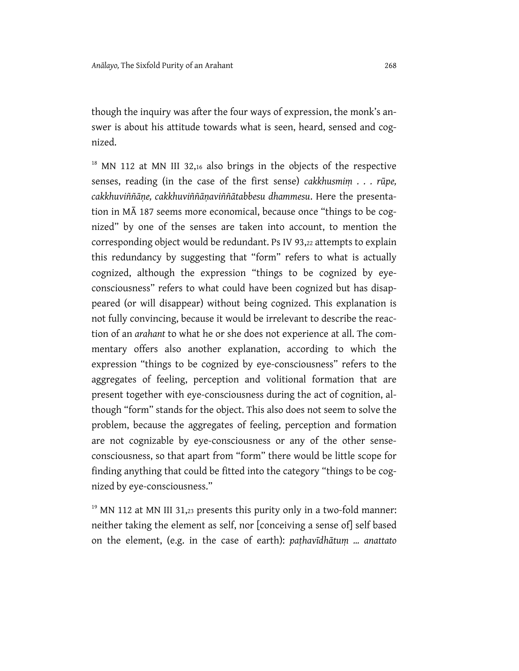though the inquiry was after the four ways of expression, the monk's answer is about his attitude towards what is seen, heard, sensed and cognized.

<sup>18</sup> MN 112 at MN III 32,16 also brings in the objects of the respective senses, reading (in the case of the first sense) *cakkhusmim* . . . rūpe, *cakkhuviññāṇe, cakkhuviññāṇaviññātabbesu dhammesu*. Here the presentation in MĀ 187 seems more economical, because once "things to be cognized" by one of the senses are taken into account, to mention the corresponding object would be redundant. Ps IV 93,22 attempts to explain this redundancy by suggesting that "form" refers to what is actually cognized, although the expression "things to be cognized by eyeconsciousness" refers to what could have been cognized but has disappeared (or will disappear) without being cognized. This explanation is not fully convincing, because it would be irrelevant to describe the reaction of an *arahant* to what he or she does not experience at all. The commentary offers also another explanation, according to which the expression "things to be cognized by eye-consciousness" refers to the aggregates of feeling, perception and volitional formation that are present together with eye-consciousness during the act of cognition, although "form" stands for the object. This also does not seem to solve the problem, because the aggregates of feeling, perception and formation are not cognizable by eye-consciousness or any of the other senseconsciousness, so that apart from "form" there would be little scope for finding anything that could be fitted into the category "things to be cognized by eye-consciousness."

 $19$  MN 112 at MN III 31,23 presents this purity only in a two-fold manner: neither taking the element as self, nor [conceiving a sense of] self based on the element, (e.g. in the case of earth): *paṭhavīdhātuṃ ... anattato*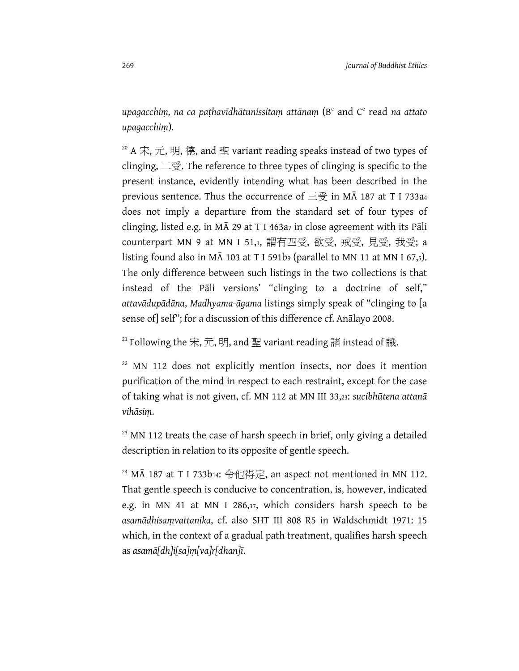*upagacchiṃ, na ca paṭhavīdhātunissitaṃ attānaṃ* (Be and Ce read *na attato upagacchiṃ*)*.* 

 $20$  A 宋, 元, 明, 德, and 聖 variant reading speaks instead of two types of clinging, 二受. The reference to three types of clinging is specific to the present instance, evidently intending what has been described in the previous sentence. Thus the occurrence of  $\equiv \cong$  in MA 187 at T I 733a4 does not imply a departure from the standard set of four types of clinging, listed e.g. in M $\bar{A}$  29 at T I 463a<sub>7</sub> in close agreement with its Pali counterpart MN 9 at MN I 51,1, 謂有四受, 欲受, 戒受, 見受, 我受; a listing found also in  $M\overline{A}$  103 at T I 591b<sub>9</sub> (parallel to MN 11 at MN I 67,5). The only difference between such listings in the two collections is that instead of the Pāli versions' "clinging to a doctrine of self," *attavādupādāna*, *Madhyama-āgama* listings simply speak of "clinging to [a sense of] self"; for a discussion of this difference cf. Anālayo 2008.

<sup>21</sup> Following the 宋, 元, 明, and 聖 variant reading 諸 instead of 識.

 $22$  MN 112 does not explicitly mention insects, nor does it mention purification of the mind in respect to each restraint, except for the case of taking what is not given, cf. MN 112 at MN III 33,23: *sucibhūtena attanā vihāsiṃ*.

 $23$  MN 112 treats the case of harsh speech in brief, only giving a detailed description in relation to its opposite of gentle speech.

 $24$  MA 187 at T I 733b14: 令他得定, an aspect not mentioned in MN 112. That gentle speech is conducive to concentration, is, however, indicated e.g. in MN 41 at MN I 286,37, which considers harsh speech to be *asamādhisaṃvattanika*, cf. also SHT III 808 R5 in Waldschmidt 1971: 15 which, in the context of a gradual path treatment, qualifies harsh speech as *asamā[dh]i[sa]ṃ[va]r[dhan]ī*.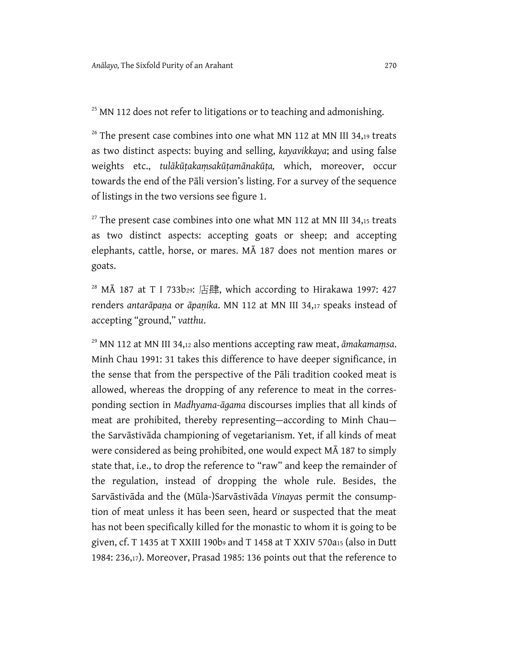# <sup>25</sup> MN 112 does not refer to litigations or to teaching and admonishing.

 $26$  The present case combines into one what MN 112 at MN III 34,19 treats as two distinct aspects: buying and selling, *kayavikkaya*; and using false weights etc., *tulākūṭakaṃsakūṭamānakūṭa,* which, moreover, occur towards the end of the Pāli version's listing. For a survey of the sequence of listings in the two versions see figure 1.

 $27$  The present case combines into one what MN 112 at MN III 34,15 treats as two distinct aspects: accepting goats or sheep; and accepting elephants, cattle, horse, or mares. MĀ 187 does not mention mares or goats.

 $28$  MA 187 at T I 733b29: 店肆, which according to Hirakawa 1997: 427 renders *antarāpaṇa* or *āpaṇika*. MN 112 at MN III 34,17 speaks instead of accepting "ground," *vatthu*.

29 MN 112 at MN III 34,12 also mentions accepting raw meat, *āmakamaṃsa*. Minh Chau 1991: 31 takes this difference to have deeper significance, in the sense that from the perspective of the Pāli tradition cooked meat is allowed, whereas the dropping of any reference to meat in the corresponding section in *Madhyama-āgama* discourses implies that all kinds of meat are prohibited, thereby representing—according to Minh Chau the Sarvāstivāda championing of vegetarianism. Yet, if all kinds of meat were considered as being prohibited, one would expect MĀ 187 to simply state that, i.e., to drop the reference to "raw" and keep the remainder of the regulation, instead of dropping the whole rule. Besides, the Sarvāstivāda and the (Mūla-)Sarvāstivāda *Vinaya*s permit the consumption of meat unless it has been seen, heard or suspected that the meat has not been specifically killed for the monastic to whom it is going to be given, cf. T 1435 at T XXIII 190b9 and T 1458 at T XXIV 570a15 (also in Dutt 1984: 236,17). Moreover, Prasad 1985: 136 points out that the reference to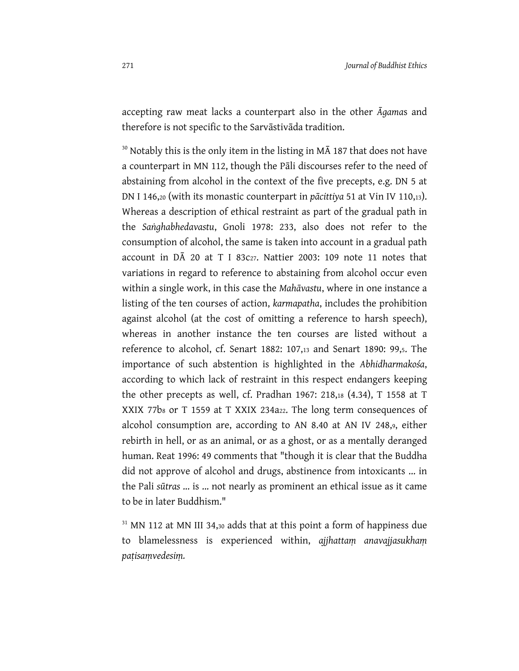accepting raw meat lacks a counterpart also in the other *Āgama*s and therefore is not specific to the Sarvāstivāda tradition.

 $30$  Notably this is the only item in the listing in M $\overline{A}$  187 that does not have a counterpart in MN 112, though the Pāli discourses refer to the need of abstaining from alcohol in the context of the five precepts, e.g. DN 5 at DN I 146,20 (with its monastic counterpart in *pācittiya* 51 at Vin IV 110,13). Whereas a description of ethical restraint as part of the gradual path in the *Saṅghabhedavastu*, Gnoli 1978: 233, also does not refer to the consumption of alcohol, the same is taken into account in a gradual path account in  $D\bar{A}$  20 at T I 83c<sub>27</sub>. Nattier 2003: 109 note 11 notes that variations in regard to reference to abstaining from alcohol occur even within a single work, in this case the *Mahāvastu*, where in one instance a listing of the ten courses of action, *karmapatha*, includes the prohibition against alcohol (at the cost of omitting a reference to harsh speech), whereas in another instance the ten courses are listed without a reference to alcohol, cf. Senart 1882: 107,13 and Senart 1890: 99,5. The importance of such abstention is highlighted in the *Abhidharmakośa*, according to which lack of restraint in this respect endangers keeping the other precepts as well, cf. Pradhan 1967: 218,18 (4.34), T 1558 at T XXIX 77b<sub>8</sub> or T 1559 at T XXIX 234a<sub>22</sub>. The long term consequences of alcohol consumption are, according to AN 8.40 at AN IV 248,9, either rebirth in hell, or as an animal, or as a ghost, or as a mentally deranged human. Reat 1996: 49 comments that "though it is clear that the Buddha did not approve of alcohol and drugs, abstinence from intoxicants ... in the Pali *sūtras* ... is ... not nearly as prominent an ethical issue as it came to be in later Buddhism."

<sup>31</sup> MN 112 at MN III 34,30 adds that at this point a form of happiness due to blamelessness is experienced within, *ajjhattaṃ anavajjasukhaṃ paṭisaṃvedesiṃ.*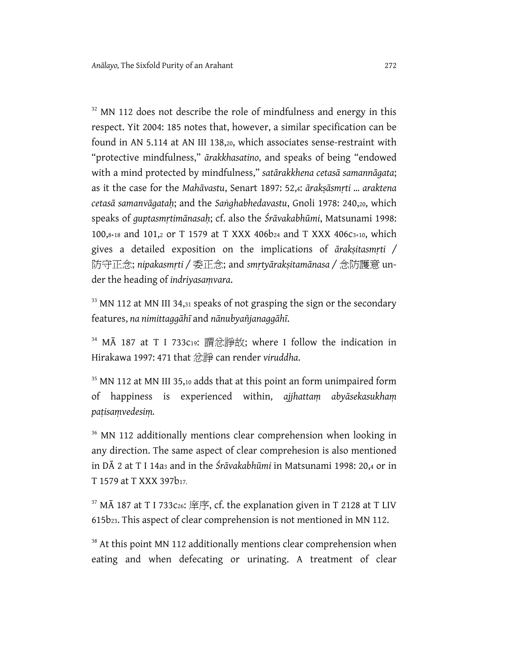$32$  MN 112 does not describe the role of mindfulness and energy in this respect. Yit 2004: 185 notes that, however, a similar specification can be found in AN 5.114 at AN III 138,20, which associates sense-restraint with "protective mindfulness," *ārakkhasatino*, and speaks of being "endowed with a mind protected by mindfulness," *satārakkhena cetasā samannāgata*; as it the case for the *Mahāvastu*, Senart 1897: 52,4: *ārakṣāsmṛti ... araktena cetasā samanvāgataḥ*; and the *Saṅghabhedavastu*, Gnoli 1978: 240,20, which speaks of *guptasmṛtimānasaḥ*; cf. also the *Śrāvakabhūmi*, Matsunami 1998: 100,8+18 and 101,2 or T 1579 at T XXX 406b24 and T XXX 406c3+10, which gives a detailed exposition on the implications of *ārakṣitasmṛti /*  防守正念; *nipakasmṛti /* 委正念; and *smṛtyārakṣitamānasa /* 念防護意 under the heading of *indriyasaṃvara*.

<sup>33</sup> MN 112 at MN III 34,31 speaks of not grasping the sign or the secondary features, *na nimittaggāhī* and *nānubyañjanaggāhī*.

<sup>34</sup> MA 187 at T I 733c19: 謂忿諍故; where I follow the indication in Hirakawa 1997: 471 that 忿諍 can render *viruddha*.

<sup>35</sup> MN 112 at MN III 35,10 adds that at this point an form unimpaired form of happiness is experienced within, *ajjhattaṃ abyāsekasukhaṃ paṭisaṃvedesiṃ.*

<sup>36</sup> MN 112 additionally mentions clear comprehension when looking in any direction. The same aspect of clear comprehesion is also mentioned in DĀ 2 at T I 14a3 and in the *Śrāvakabhūmi* in Matsunami 1998: 20,4 or in T 1579 at T XXX 397b17.

 $37$  MA 187 at T I 733c26: 庠序, cf. the explanation given in T 2128 at T LIV 615b23. This aspect of clear comprehension is not mentioned in MN 112.

<sup>38</sup> At this point MN 112 additionally mentions clear comprehension when eating and when defecating or urinating. A treatment of clear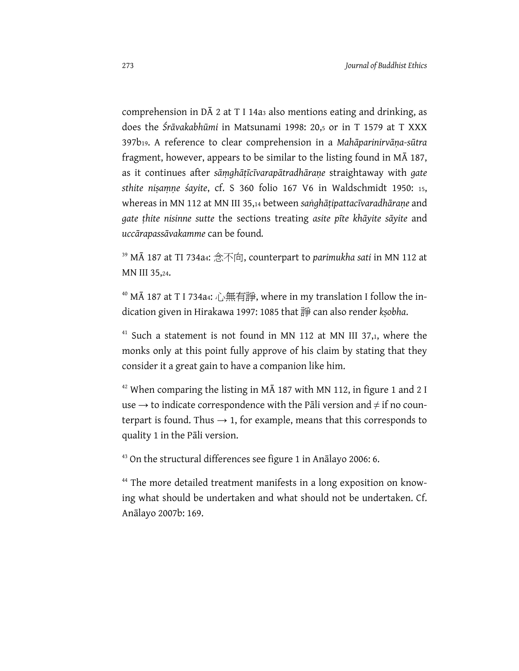comprehension in DĀ 2 at T I 14a3 also mentions eating and drinking, as does the *Śrāvakabhūmi* in Matsunami 1998: 20,5 or in T 1579 at T XXX 397b19. A reference to clear comprehension in a *Mahāparinirvāṇa-sūtra*  fragment, however, appears to be similar to the listing found in MĀ 187, as it continues after *sāṃghāṭīcīvarapātradhāraṇe* straightaway with *gate sthite niṣaṃṇe śayite*, cf. S 360 folio 167 V6 in Waldschmidt 1950: 15, whereas in MN 112 at MN III 35,14 between *saṅghāṭipattacīvaradhāraṇe* and *gate ṭhite nisinne sutte* the sections treating *asite pīte khāyite sāyite* and *uccārapassāvakamme* can be found*.* 

39 MĀ 187 at TI 734a4: 念不向, counterpart to *parimukha sati* in MN 112 at MN III 35,24.

<sup>40</sup> MA 187 at T I 734a4: 心無有諍, where in my translation I follow the indication given in Hirakawa 1997: 1085 that 諍 can also render *kṣobha*.

 $41$  Such a statement is not found in MN 112 at MN III 37,1, where the monks only at this point fully approve of his claim by stating that they consider it a great gain to have a companion like him.

 $42$  When comparing the listing in MA 187 with MN 112, in figure 1 and 2 I use  $\rightarrow$  to indicate correspondence with the Pāli version and  $\neq$  if no counterpart is found. Thus  $\rightarrow$  1, for example, means that this corresponds to quality 1 in the Pāli version.

<sup>43</sup> On the structural differences see figure 1 in Anālayo 2006: 6.

<sup>44</sup> The more detailed treatment manifests in a long exposition on knowing what should be undertaken and what should not be undertaken. Cf. Anālayo 2007b: 169.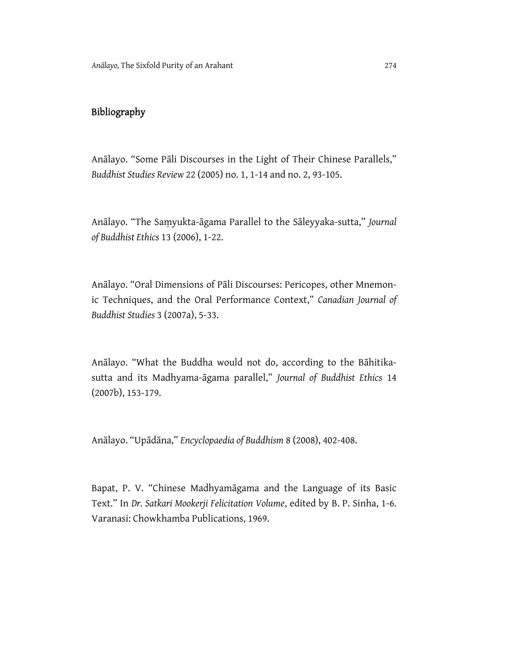# Bibliography

Anālayo. "Some Pāli Discourses in the Light of Their Chinese Parallels," *Buddhist Studies Review* 22 (2005) no. 1, 1-14 and no. 2, 93-105.

Anālayo. "The Saṃyukta-āgama Parallel to the Sāleyyaka-sutta," *Journal of Buddhist Ethics* 13 (2006), 1-22.

Anālayo. "Oral Dimensions of Pāli Discourses: Pericopes, other Mnemonic Techniques, and the Oral Performance Context," *Canadian Journal of Buddhist Studies* 3 (2007a), 5-33.

Anālayo. "What the Buddha would not do, according to the Bāhitikasutta and its Madhyama-āgama parallel," *Journal of Buddhist Ethics* 14 (2007b), 153-179.

Anālayo. "Upādāna," *Encyclopaedia of Buddhism* 8 (2008), 402-408.

Bapat, P. V. "Chinese Madhyamāgama and the Language of its Basic Text." In *Dr. Satkari Mookerji Felicitation Volume*, edited by B. P. Sinha, 1-6. Varanasi: Chowkhamba Publications, 1969.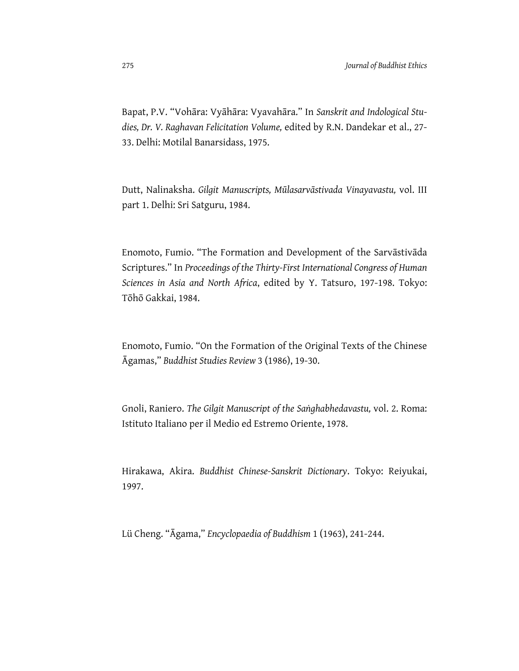Bapat, P.V. "Vohāra: Vyāhāra: Vyavahāra." In *Sanskrit and Indological Studies, Dr. V. Raghavan Felicitation Volume,* edited by R.N. Dandekar et al., 27- 33. Delhi: Motilal Banarsidass, 1975.

Dutt, Nalinaksha. *Gilgit Manuscripts, Mūlasarvāstivada Vinayavastu,* vol. III part 1. Delhi: Sri Satguru, 1984.

Enomoto, Fumio. "The Formation and Development of the Sarvāstivāda Scriptures." In *Proceedings of the Thirty-First International Congress of Human Sciences in Asia and North Africa*, edited by Y. Tatsuro, 197-198. Tokyo: Tōhō Gakkai, 1984.

Enomoto, Fumio. "On the Formation of the Original Texts of the Chinese Āgamas," *Buddhist Studies Review* 3 (1986), 19-30.

Gnoli, Raniero. *The Gilgit Manuscript of the Saṅghabhedavastu,* vol. 2. Roma: Istituto Italiano per il Medio ed Estremo Oriente, 1978.

Hirakawa, Akira. *Buddhist Chinese-Sanskrit Dictionary*. Tokyo: Reiyukai, 1997.

Lü Cheng. "Āgama," *Encyclopaedia of Buddhism* 1 (1963), 241-244.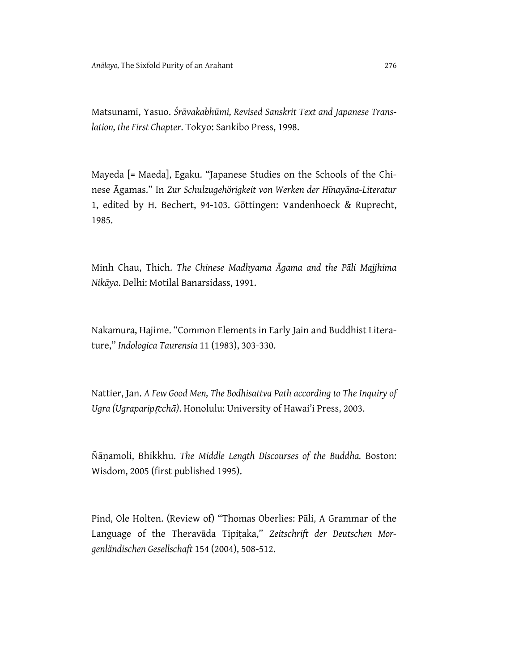Matsunami, Yasuo. *Śrāvakabhūmi, Revised Sanskrit Text and Japanese Translation, the First Chapter*. Tokyo: Sankibo Press, 1998.

Mayeda [= Maeda], Egaku. "Japanese Studies on the Schools of the Chinese Āgamas." In *Zur Schulzugehörigkeit von Werken der Hīnayāna-Literatur* 1, edited by H. Bechert, 94-103. Göttingen: Vandenhoeck & Ruprecht, 1985.

Minh Chau, Thich. *The Chinese Madhyama Āgama and the Pāli Majjhima Nikāya*. Delhi: Motilal Banarsidass, 1991.

Nakamura, Hajime. "Common Elements in Early Jain and Buddhist Literature," *Indologica Taurensia* 11 (1983), 303-330.

Nattier, Jan. *A Few Good Men, The Bodhisattva Path according to The Inquiry of Ugra (Ugraparip*ṛ*cchā)*. Honolulu: University of Hawai'i Press, 2003.

Ñāṇamoli, Bhikkhu. *The Middle Length Discourses of the Buddha.* Boston: Wisdom, 2005 (first published 1995).

Pind, Ole Holten. (Review of) "Thomas Oberlies: Pāli, A Grammar of the Language of the Theravāda Tipiṭaka," *Zeitschrift der Deutschen Morgenländischen Gesellschaft* 154 (2004), 508-512.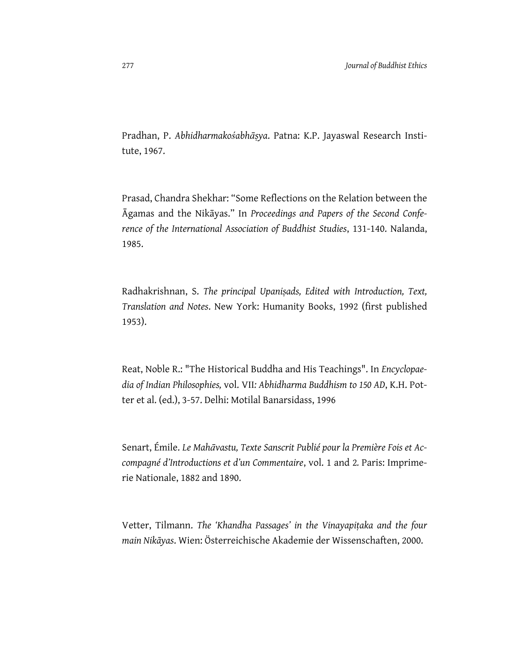Pradhan, P. *Abhidharmakośabhāṣya*. Patna: K.P. Jayaswal Research Institute, 1967.

Prasad, Chandra Shekhar: "Some Reflections on the Relation between the Āgamas and the Nikāyas." In *Proceedings and Papers of the Second Conference of the International Association of Buddhist Studies*, 131-140. Nalanda, 1985.

Radhakrishnan, S. *The principal Upaniṣads, Edited with Introduction, Text, Translation and Notes*. New York: Humanity Books, 1992 (first published 1953).

Reat, Noble R.: "The Historical Buddha and His Teachings". In *Encyclopaedia of Indian Philosophies,* vol. VII*: Abhidharma Buddhism to 150 AD*, K.H. Potter et al. (ed.), 3-57. Delhi: Motilal Banarsidass, 1996

Senart, Émile. *Le Mahāvastu, Texte Sanscrit Publié pour la Première Fois et Accompagné d'Introductions et d'un Commentaire*, vol. 1 and 2*.* Paris: Imprimerie Nationale, 1882 and 1890.

Vetter, Tilmann. *The 'Khandha Passages' in the Vinayapiṭaka and the four main Nikāyas*. Wien: Österreichische Akademie der Wissenschaften, 2000.